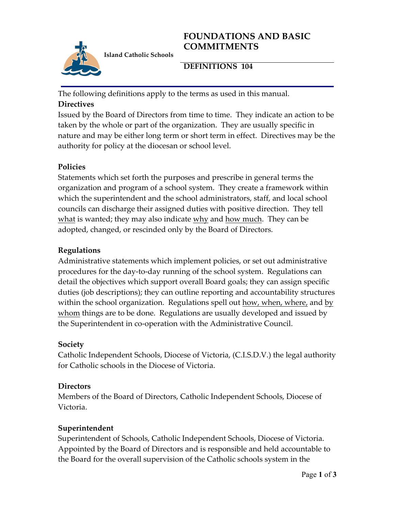# **FOUNDATIONS AND BASIC COMMITMENTS**



**Island Catholic Schools** 

# **DEFINITIONS 104**

The following definitions apply to the terms as used in this manual. **Directives**

Issued by the Board of Directors from time to time. They indicate an action to be taken by the whole or part of the organization. They are usually specific in nature and may be either long term or short term in effect. Directives may be the authority for policy at the diocesan or school level.

## **Policies**

Statements which set forth the purposes and prescribe in general terms the organization and program of a school system. They create a framework within which the superintendent and the school administrators, staff, and local school councils can discharge their assigned duties with positive direction. They tell what is wanted; they may also indicate why and how much. They can be adopted, changed, or rescinded only by the Board of Directors.

## **Regulations**

Administrative statements which implement policies, or set out administrative procedures for the day-to-day running of the school system. Regulations can detail the objectives which support overall Board goals; they can assign specific duties (job descriptions); they can outline reporting and accountability structures within the school organization. Regulations spell out how, when, where, and by whom things are to be done. Regulations are usually developed and issued by the Superintendent in co-operation with the Administrative Council.

### **Society**

Catholic Independent Schools, Diocese of Victoria, (C.I.S.D.V.) the legal authority for Catholic schools in the Diocese of Victoria.

### **Directors**

Members of the Board of Directors, Catholic Independent Schools, Diocese of Victoria.

### **Superintendent**

Superintendent of Schools, Catholic Independent Schools, Diocese of Victoria. Appointed by the Board of Directors and is responsible and held accountable to the Board for the overall supervision of the Catholic schools system in the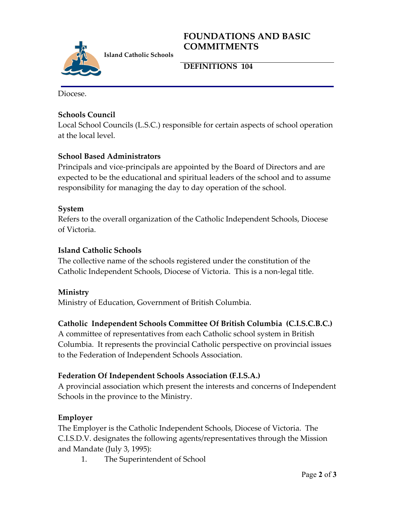## **FOUNDATIONS AND BASIC COMMITMENTS**



**DEFINITIONS 104**

Diocese.

### **Schools Council**

Local School Councils (L.S.C.) responsible for certain aspects of school operation at the local level.

# **School Based Administrators**

Principals and vice-principals are appointed by the Board of Directors and are expected to be the educational and spiritual leaders of the school and to assume responsibility for managing the day to day operation of the school.

### **System**

Refers to the overall organization of the Catholic Independent Schools, Diocese of Victoria.

### **Island Catholic Schools**

The collective name of the schools registered under the constitution of the Catholic Independent Schools, Diocese of Victoria. This is a non-legal title.

### **Ministry**

Ministry of Education, Government of British Columbia.

### **Catholic Independent Schools Committee Of British Columbia (C.I.S.C.B.C.)**

A committee of representatives from each Catholic school system in British Columbia. It represents the provincial Catholic perspective on provincial issues to the Federation of Independent Schools Association.

### **Federation Of Independent Schools Association (F.I.S.A.)**

A provincial association which present the interests and concerns of Independent Schools in the province to the Ministry.

### **Employer**

The Employer is the Catholic Independent Schools, Diocese of Victoria. The C.I.S.D.V. designates the following agents/representatives through the Mission and Mandate (July 3, 1995):

1. The Superintendent of School